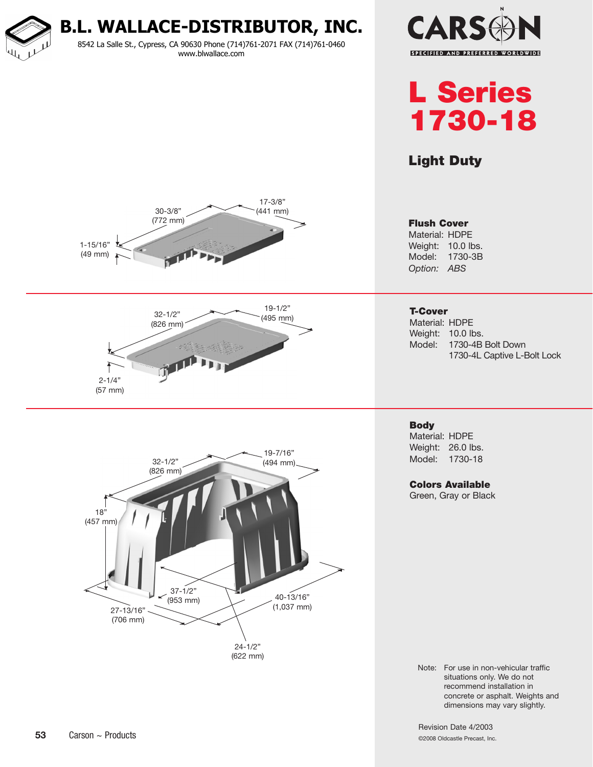**B.L. WALLACE-DISTRIBUTOR, INC.** 8542 La Salle St., Cypress, CA 90630 Phone (714)761-2071 FAX (714)761-0460 www.blwallace.com





## Light Duty







#### Flush Cover

Material: HDPE Weight: 10.0 lbs. Model: 1730-3B *Option: ABS*

### T-Cover

Material: HDPE Weight: 10.0 lbs. Model: 1730-4B Bolt Down 1730-4L Captive L-Bolt Lock

#### **Body** Material: HDPE Weight: 26.0 lbs. Model: 1730-18

Colors Available Green, Gray or Black

Note: For use in non-vehicular traffic situations only. We do not recommend installation in concrete or asphalt. Weights and dimensions may vary slightly.

Revision Date 4/2003 ©2008 Oldcastle Precast, Inc.

#### **53** Carson ~ Products